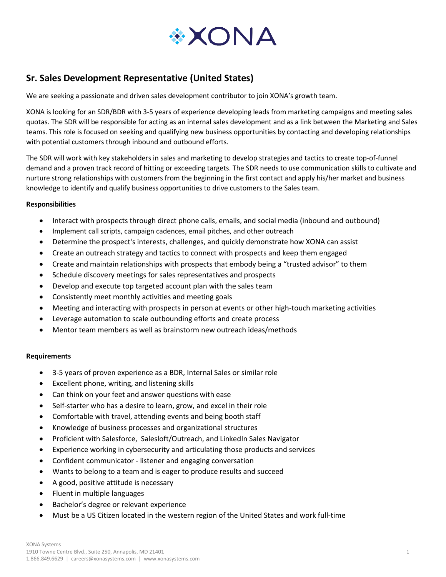

# **Sr. Sales Development Representative (United States)**

We are seeking a passionate and driven sales development contributor to join XONA's growth team.

XONA is looking for an SDR/BDR with 3-5 years of experience developing leads from marketing campaigns and meeting sales quotas. The SDR will be responsible for acting as an internal sales development and as a link between the Marketing and Sales teams. This role is focused on seeking and qualifying new business opportunities by contacting and developing relationships with potential customers through inbound and outbound efforts.

The SDR will work with key stakeholders in sales and marketing to develop strategies and tactics to create top-of-funnel demand and a proven track record of hitting or exceeding targets. The SDR needs to use communication skills to cultivate and nurture strong relationships with customers from the beginning in the first contact and apply his/her market and business knowledge to identify and qualify business opportunities to drive customers to the Sales team.

### **Responsibilities**

- Interact with prospects through direct phone calls, emails, and social media (inbound and outbound)
- Implement call scripts, campaign cadences, email pitches, and other outreach
- Determine the prospect's interests, challenges, and quickly demonstrate how XONA can assist
- Create an outreach strategy and tactics to connect with prospects and keep them engaged
- Create and maintain relationships with prospects that embody being a "trusted advisor" to them
- Schedule discovery meetings for sales representatives and prospects
- Develop and execute top targeted account plan with the sales team
- Consistently meet monthly activities and meeting goals
- Meeting and interacting with prospects in person at events or other high-touch marketing activities
- Leverage automation to scale outbounding efforts and create process
- Mentor team members as well as brainstorm new outreach ideas/methods

#### **Requirements**

- 3-5 years of proven experience as a BDR, Internal Sales or similar role
- Excellent phone, writing, and listening skills
- Can think on your feet and answer questions with ease
- Self-starter who has a desire to learn, grow, and excel in their role
- Comfortable with travel, attending events and being booth staff
- Knowledge of business processes and organizational structures
- Proficient with Salesforce, Salesloft/Outreach, and LinkedIn Sales Navigator
- Experience working in cybersecurity and articulating those products and services
- Confident communicator listener and engaging conversation
- Wants to belong to a team and is eager to produce results and succeed
- A good, positive attitude is necessary
- Fluent in multiple languages
- Bachelor's degree or relevant experience
- Must be a US Citizen located in the western region of the United States and work full-time